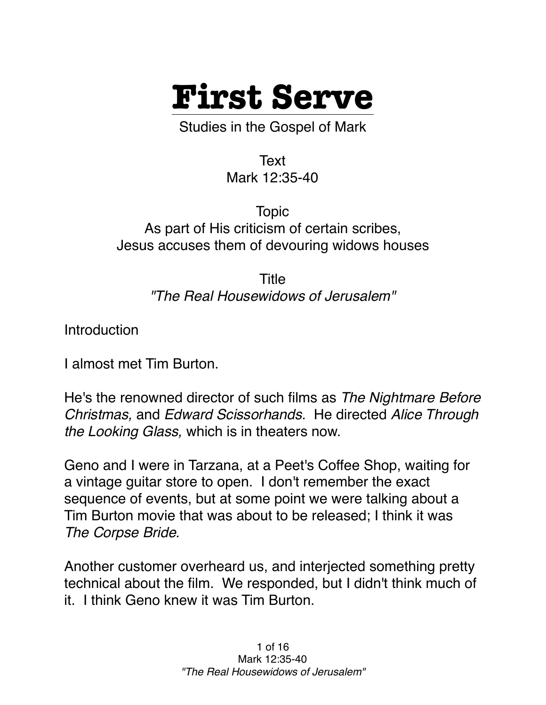

Studies in the Gospel of Mark

Text Mark 12:35-40

Topic As part of His criticism of certain scribes, Jesus accuses them of devouring widows houses

> Title *"The Real Housewidows of Jerusalem"*

Introduction

I almost met Tim Burton.

He's the renowned director of such films as *The Nightmare Before Christmas,* and *Edward Scissorhands.* He directed *Alice Through the Looking Glass,* which is in theaters now.

Geno and I were in Tarzana, at a Peet's Coffee Shop, waiting for a vintage guitar store to open. I don't remember the exact sequence of events, but at some point we were talking about a Tim Burton movie that was about to be released; I think it was *The Corpse Bride.*

Another customer overheard us, and interjected something pretty technical about the film. We responded, but I didn't think much of it. I think Geno knew it was Tim Burton.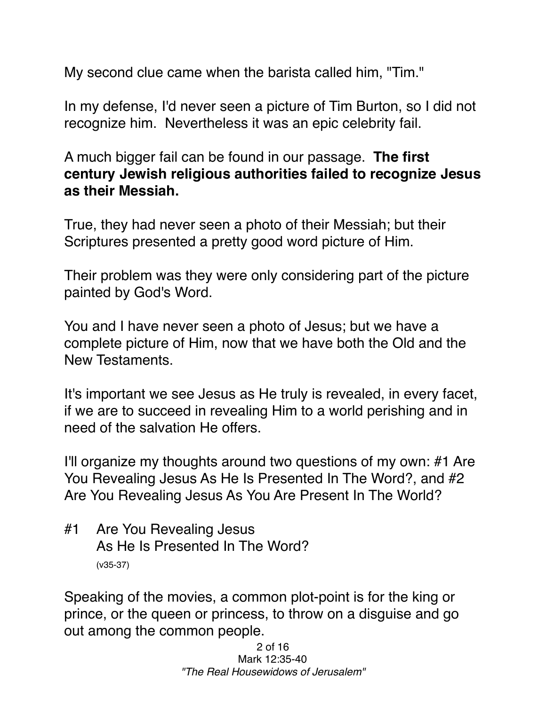My second clue came when the barista called him, "Tim."

In my defense, I'd never seen a picture of Tim Burton, so I did not recognize him. Nevertheless it was an epic celebrity fail.

A much bigger fail can be found in our passage. **The first century Jewish religious authorities failed to recognize Jesus as their Messiah.** 

True, they had never seen a photo of their Messiah; but their Scriptures presented a pretty good word picture of Him.

Their problem was they were only considering part of the picture painted by God's Word.

You and I have never seen a photo of Jesus; but we have a complete picture of Him, now that we have both the Old and the New Testaments.

It's important we see Jesus as He truly is revealed, in every facet, if we are to succeed in revealing Him to a world perishing and in need of the salvation He offers.

I'll organize my thoughts around two questions of my own: #1 Are You Revealing Jesus As He Is Presented In The Word?, and #2 Are You Revealing Jesus As You Are Present In The World?

#1 Are You Revealing Jesus As He Is Presented In The Word? (v35-37)

Speaking of the movies, a common plot-point is for the king or prince, or the queen or princess, to throw on a disguise and go out among the common people.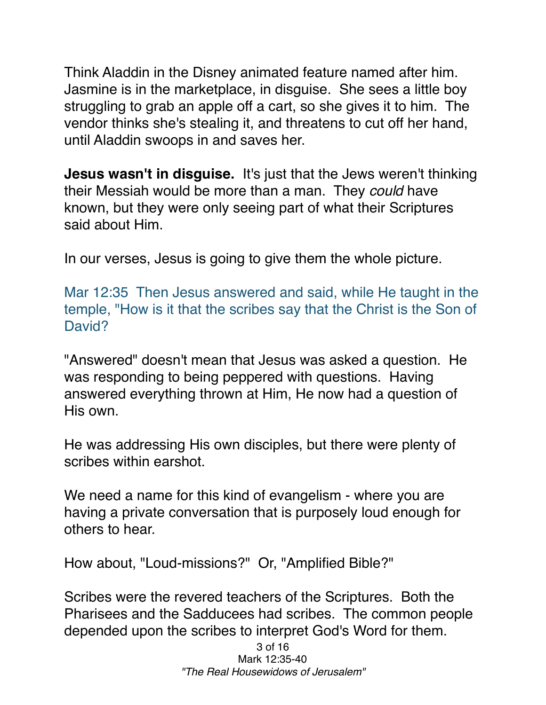Think Aladdin in the Disney animated feature named after him. Jasmine is in the marketplace, in disguise. She sees a little boy struggling to grab an apple off a cart, so she gives it to him. The vendor thinks she's stealing it, and threatens to cut off her hand, until Aladdin swoops in and saves her.

**Jesus wasn't in disguise.** It's just that the Jews weren't thinking their Messiah would be more than a man. They *could* have known, but they were only seeing part of what their Scriptures said about Him.

In our verses, Jesus is going to give them the whole picture.

Mar 12:35 Then Jesus answered and said, while He taught in the temple, "How is it that the scribes say that the Christ is the Son of David?

"Answered" doesn't mean that Jesus was asked a question. He was responding to being peppered with questions. Having answered everything thrown at Him, He now had a question of His own.

He was addressing His own disciples, but there were plenty of scribes within earshot.

We need a name for this kind of evangelism - where you are having a private conversation that is purposely loud enough for others to hear.

How about, "Loud-missions?" Or, "Amplified Bible?"

Scribes were the revered teachers of the Scriptures. Both the Pharisees and the Sadducees had scribes. The common people depended upon the scribes to interpret God's Word for them.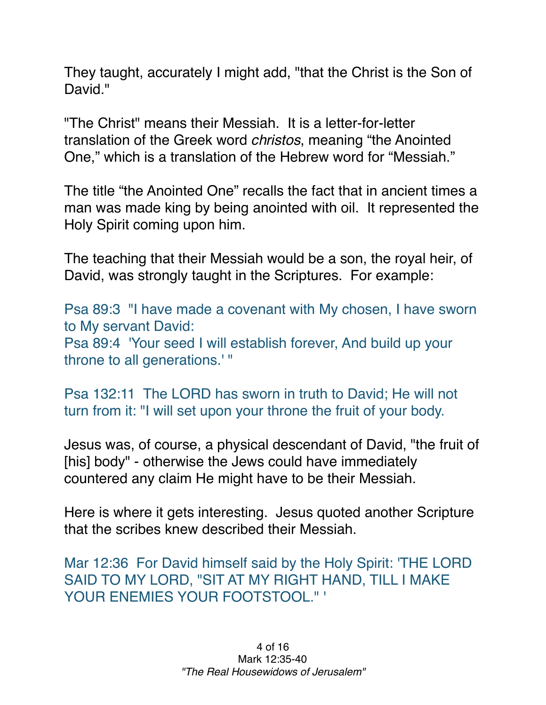They taught, accurately I might add, "that the Christ is the Son of David."

"The Christ" means their Messiah. It is a letter-for-letter translation of the Greek word *christos*, meaning "the Anointed One," which is a translation of the Hebrew word for "Messiah."

The title "the Anointed One" recalls the fact that in ancient times a man was made king by being anointed with oil. It represented the Holy Spirit coming upon him.

The teaching that their Messiah would be a son, the royal heir, of David, was strongly taught in the Scriptures. For example:

Psa 89:3 "I have made a covenant with My chosen, I have sworn to My servant David: Psa 89:4 'Your seed I will establish forever, And build up your throne to all generations.' "

Psa 132:11 The LORD has sworn in truth to David; He will not turn from it: "I will set upon your throne the fruit of your body.

Jesus was, of course, a physical descendant of David, "the fruit of [his] body" - otherwise the Jews could have immediately countered any claim He might have to be their Messiah.

Here is where it gets interesting. Jesus quoted another Scripture that the scribes knew described their Messiah.

Mar 12:36 For David himself said by the Holy Spirit: 'THE LORD SAID TO MY LORD, "SIT AT MY RIGHT HAND, TILL I MAKE YOUR ENEMIES YOUR FOOTSTOOL." '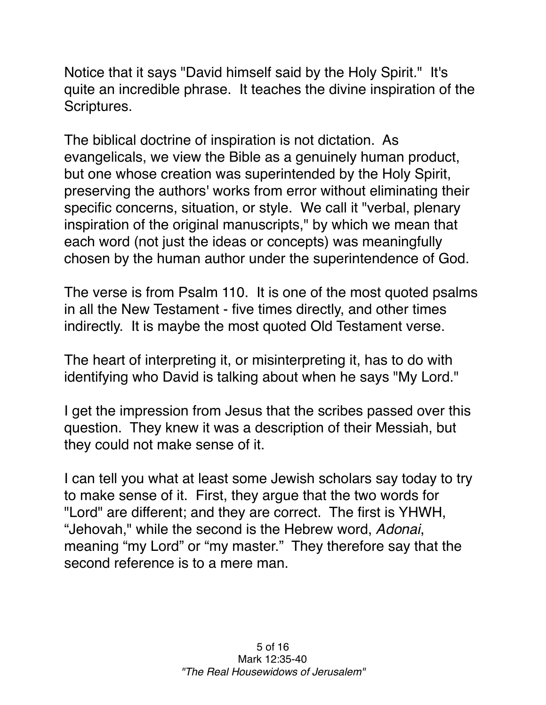Notice that it says "David himself said by the Holy Spirit." It's quite an incredible phrase. It teaches the divine inspiration of the Scriptures.

The biblical doctrine of inspiration is not dictation. As evangelicals, we view the Bible as a genuinely human product, but one whose creation was superintended by the Holy Spirit, preserving the authors' works from error without eliminating their specific concerns, situation, or style. We call it "verbal, plenary inspiration of the original manuscripts," by which we mean that each word (not just the ideas or concepts) was meaningfully chosen by the human author under the superintendence of God.

The verse is from Psalm 110. It is one of the most quoted psalms in all the New Testament - five times directly, and other times indirectly. It is maybe the most quoted Old Testament verse.

The heart of interpreting it, or misinterpreting it, has to do with identifying who David is talking about when he says "My Lord."

I get the impression from Jesus that the scribes passed over this question. They knew it was a description of their Messiah, but they could not make sense of it.

I can tell you what at least some Jewish scholars say today to try to make sense of it. First, they argue that the two words for "Lord" are different; and they are correct. The first is YHWH, "Jehovah," while the second is the Hebrew word, *Adonai*, meaning "my Lord" or "my master." They therefore say that the second reference is to a mere man.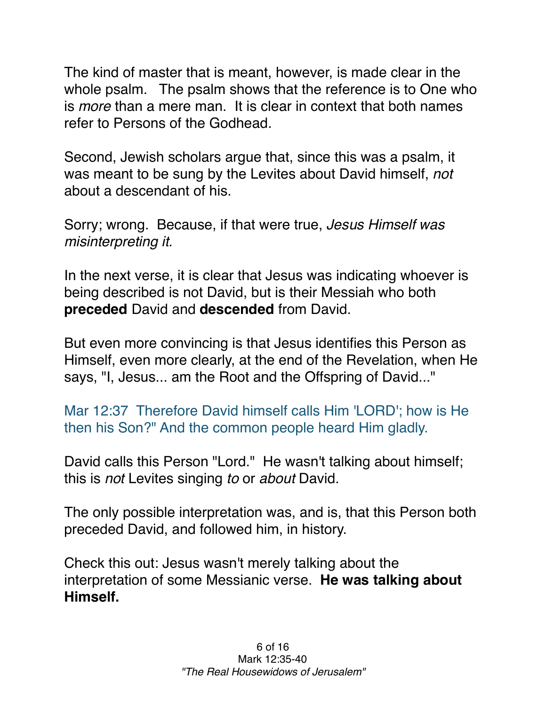The kind of master that is meant, however, is made clear in the whole psalm. The psalm shows that the reference is to One who is *more* than a mere man. It is clear in context that both names refer to Persons of the Godhead.

Second, Jewish scholars argue that, since this was a psalm, it was meant to be sung by the Levites about David himself, *not* about a descendant of his.

Sorry; wrong. Because, if that were true, *Jesus Himself was misinterpreting it.* 

In the next verse, it is clear that Jesus was indicating whoever is being described is not David, but is their Messiah who both **preceded** David and **descended** from David.

But even more convincing is that Jesus identifies this Person as Himself, even more clearly, at the end of the Revelation, when He says, "I, Jesus... am the Root and the Offspring of David..."

Mar 12:37 Therefore David himself calls Him 'LORD'; how is He then his Son?" And the common people heard Him gladly.

David calls this Person "Lord." He wasn't talking about himself; this is *not* Levites singing *to* or *about* David.

The only possible interpretation was, and is, that this Person both preceded David, and followed him, in history.

Check this out: Jesus wasn't merely talking about the interpretation of some Messianic verse. **He was talking about Himself.**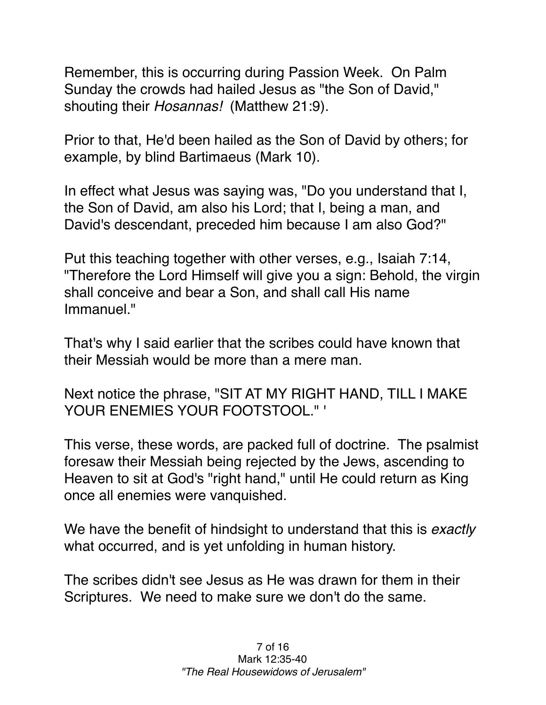Remember, this is occurring during Passion Week. On Palm Sunday the crowds had hailed Jesus as "the Son of David," shouting their *Hosannas!* (Matthew 21:9).

Prior to that, He'd been hailed as the Son of David by others; for example, by blind Bartimaeus (Mark 10).

In effect what Jesus was saying was, "Do you understand that I, the Son of David, am also his Lord; that I, being a man, and David's descendant, preceded him because I am also God?"

Put this teaching together with other verses, e.g., Isaiah 7:14, "Therefore the Lord Himself will give you a sign: Behold, the virgin shall conceive and bear a Son, and shall call His name Immanuel."

That's why I said earlier that the scribes could have known that their Messiah would be more than a mere man.

Next notice the phrase, "SIT AT MY RIGHT HAND, TILL I MAKE YOUR ENEMIES YOUR FOOTSTOOL." '

This verse, these words, are packed full of doctrine. The psalmist foresaw their Messiah being rejected by the Jews, ascending to Heaven to sit at God's "right hand," until He could return as King once all enemies were vanquished.

We have the benefit of hindsight to understand that this is *exactly* what occurred, and is yet unfolding in human history.

The scribes didn't see Jesus as He was drawn for them in their Scriptures. We need to make sure we don't do the same.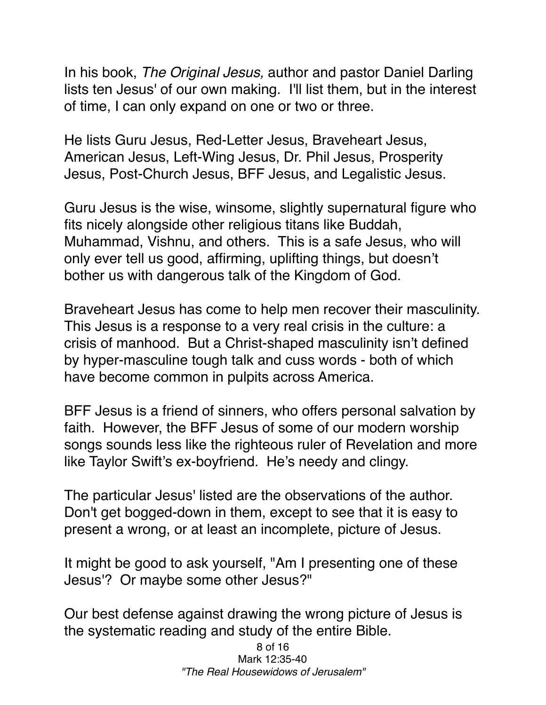In his book, *The Original Jesus,* author and pastor Daniel Darling lists ten Jesus' of our own making. I'll list them, but in the interest of time, I can only expand on one or two or three.

He lists Guru Jesus, Red-Letter Jesus, Braveheart Jesus, American Jesus, Left-Wing Jesus, Dr. Phil Jesus, Prosperity Jesus, Post-Church Jesus, BFF Jesus, and Legalistic Jesus.

Guru Jesus is the wise, winsome, slightly supernatural figure who fits nicely alongside other religious titans like Buddah, Muhammad, Vishnu, and others. This is a safe Jesus, who will only ever tell us good, affirming, uplifting things, but doesn't bother us with dangerous talk of the Kingdom of God.

Braveheart Jesus has come to help men recover their masculinity. This Jesus is a response to a very real crisis in the culture: a crisis of manhood. But a Christ-shaped masculinity isn't defined by hyper-masculine tough talk and cuss words - both of which have become common in pulpits across America.

BFF Jesus is a friend of sinners, who offers personal salvation by faith. However, the BFF Jesus of some of our modern worship songs sounds less like the righteous ruler of Revelation and more like Taylor Swift's ex-boyfriend. He's needy and clingy.

The particular Jesus' listed are the observations of the author. Don't get bogged-down in them, except to see that it is easy to present a wrong, or at least an incomplete, picture of Jesus.

It might be good to ask yourself, "Am I presenting one of these Jesus'? Or maybe some other Jesus?"

Our best defense against drawing the wrong picture of Jesus is the systematic reading and study of the entire Bible.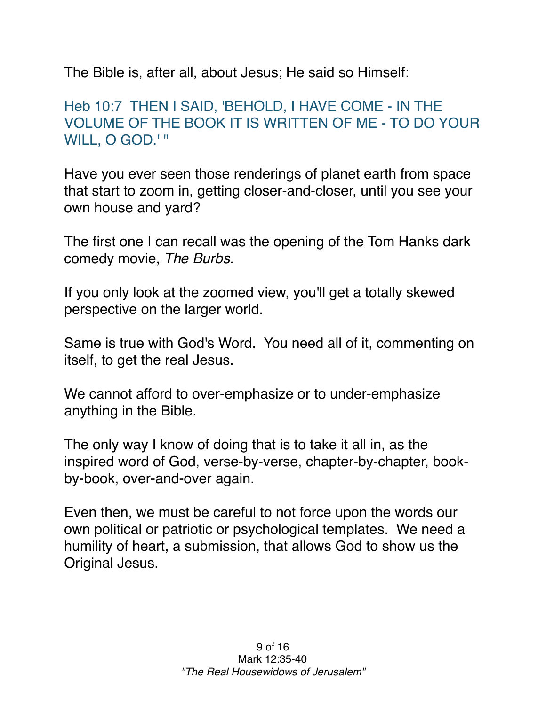The Bible is, after all, about Jesus; He said so Himself:

## Heb 10:7 THEN I SAID, 'BEHOLD, I HAVE COME - IN THE VOLUME OF THE BOOK IT IS WRITTEN OF ME - TO DO YOUR WILL, O GOD.' "

Have you ever seen those renderings of planet earth from space that start to zoom in, getting closer-and-closer, until you see your own house and yard?

The first one I can recall was the opening of the Tom Hanks dark comedy movie, *The Burbs.*

If you only look at the zoomed view, you'll get a totally skewed perspective on the larger world.

Same is true with God's Word. You need all of it, commenting on itself, to get the real Jesus.

We cannot afford to over-emphasize or to under-emphasize anything in the Bible.

The only way I know of doing that is to take it all in, as the inspired word of God, verse-by-verse, chapter-by-chapter, bookby-book, over-and-over again.

Even then, we must be careful to not force upon the words our own political or patriotic or psychological templates. We need a humility of heart, a submission, that allows God to show us the Original Jesus.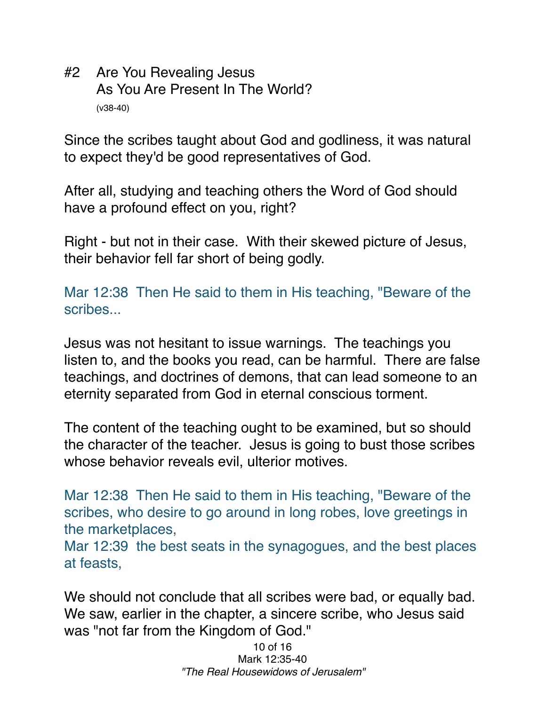#2 Are You Revealing Jesus As You Are Present In The World? (v38-40)

Since the scribes taught about God and godliness, it was natural to expect they'd be good representatives of God.

After all, studying and teaching others the Word of God should have a profound effect on you, right?

Right - but not in their case. With their skewed picture of Jesus, their behavior fell far short of being godly.

Mar 12:38 Then He said to them in His teaching, "Beware of the scribes...

Jesus was not hesitant to issue warnings. The teachings you listen to, and the books you read, can be harmful. There are false teachings, and doctrines of demons, that can lead someone to an eternity separated from God in eternal conscious torment.

The content of the teaching ought to be examined, but so should the character of the teacher. Jesus is going to bust those scribes whose behavior reveals evil, ulterior motives.

Mar 12:38 Then He said to them in His teaching, "Beware of the scribes, who desire to go around in long robes, love greetings in the marketplaces,

Mar 12:39 the best seats in the synagogues, and the best places at feasts,

We should not conclude that all scribes were bad, or equally bad. We saw, earlier in the chapter, a sincere scribe, who Jesus said was "not far from the Kingdom of God."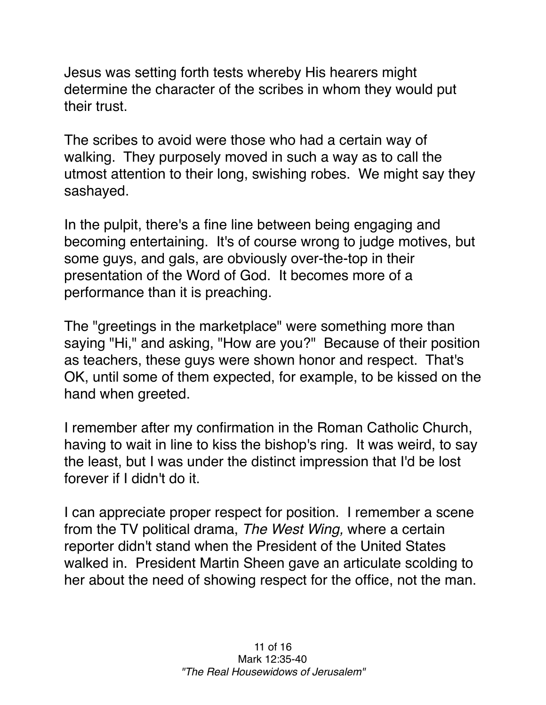Jesus was setting forth tests whereby His hearers might determine the character of the scribes in whom they would put their trust.

The scribes to avoid were those who had a certain way of walking. They purposely moved in such a way as to call the utmost attention to their long, swishing robes. We might say they sashayed.

In the pulpit, there's a fine line between being engaging and becoming entertaining. It's of course wrong to judge motives, but some guys, and gals, are obviously over-the-top in their presentation of the Word of God. It becomes more of a performance than it is preaching.

The "greetings in the marketplace" were something more than saying "Hi," and asking, "How are you?" Because of their position as teachers, these guys were shown honor and respect. That's OK, until some of them expected, for example, to be kissed on the hand when greeted.

I remember after my confirmation in the Roman Catholic Church, having to wait in line to kiss the bishop's ring. It was weird, to say the least, but I was under the distinct impression that I'd be lost forever if I didn't do it.

I can appreciate proper respect for position. I remember a scene from the TV political drama, *The West Wing,* where a certain reporter didn't stand when the President of the United States walked in. President Martin Sheen gave an articulate scolding to her about the need of showing respect for the office, not the man.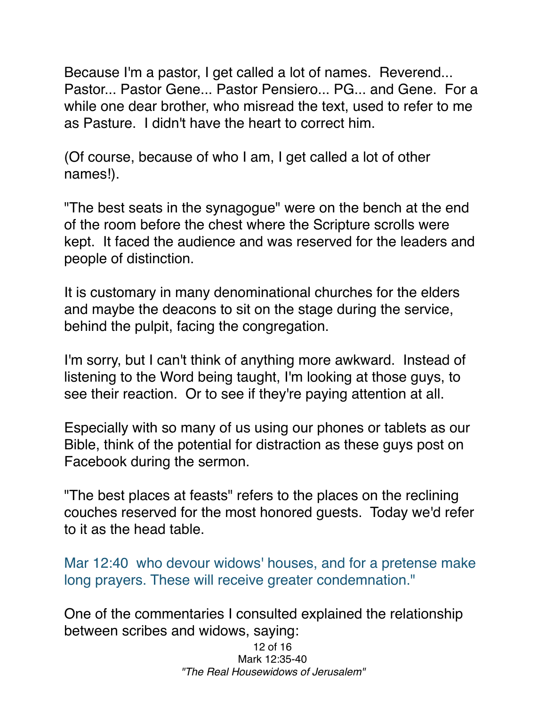Because I'm a pastor, I get called a lot of names. Reverend... Pastor... Pastor Gene... Pastor Pensiero... PG... and Gene. For a while one dear brother, who misread the text, used to refer to me as Pasture. I didn't have the heart to correct him.

(Of course, because of who I am, I get called a lot of other names!).

"The best seats in the synagogue" were on the bench at the end of the room before the chest where the Scripture scrolls were kept. It faced the audience and was reserved for the leaders and people of distinction.

It is customary in many denominational churches for the elders and maybe the deacons to sit on the stage during the service, behind the pulpit, facing the congregation.

I'm sorry, but I can't think of anything more awkward. Instead of listening to the Word being taught, I'm looking at those guys, to see their reaction. Or to see if they're paying attention at all.

Especially with so many of us using our phones or tablets as our Bible, think of the potential for distraction as these guys post on Facebook during the sermon.

"The best places at feasts" refers to the places on the reclining couches reserved for the most honored guests. Today we'd refer to it as the head table.

Mar 12:40 who devour widows' houses, and for a pretense make long prayers. These will receive greater condemnation."

One of the commentaries I consulted explained the relationship between scribes and widows, saying: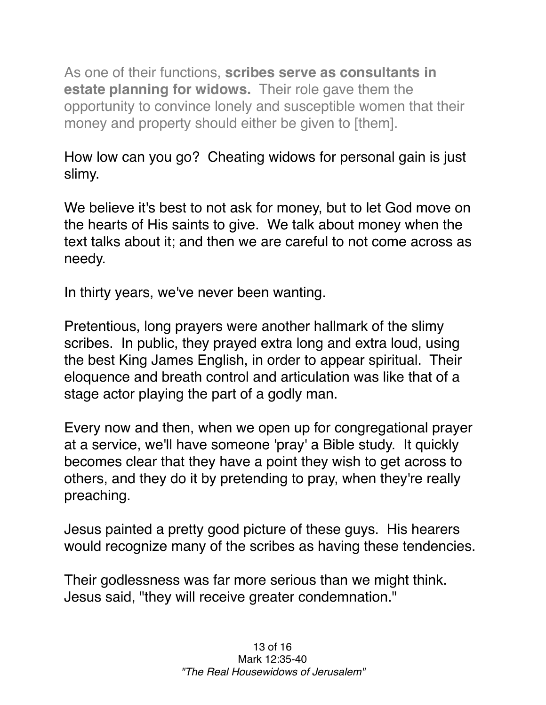As one of their functions, **scribes serve as consultants in estate planning for widows.** Their role gave them the opportunity to convince lonely and susceptible women that their money and property should either be given to [them].

How low can you go? Cheating widows for personal gain is just slimy.

We believe it's best to not ask for money, but to let God move on the hearts of His saints to give. We talk about money when the text talks about it; and then we are careful to not come across as needy.

In thirty years, we've never been wanting.

Pretentious, long prayers were another hallmark of the slimy scribes. In public, they prayed extra long and extra loud, using the best King James English, in order to appear spiritual. Their eloquence and breath control and articulation was like that of a stage actor playing the part of a godly man.

Every now and then, when we open up for congregational prayer at a service, we'll have someone 'pray' a Bible study. It quickly becomes clear that they have a point they wish to get across to others, and they do it by pretending to pray, when they're really preaching.

Jesus painted a pretty good picture of these guys. His hearers would recognize many of the scribes as having these tendencies.

Their godlessness was far more serious than we might think. Jesus said, "they will receive greater condemnation."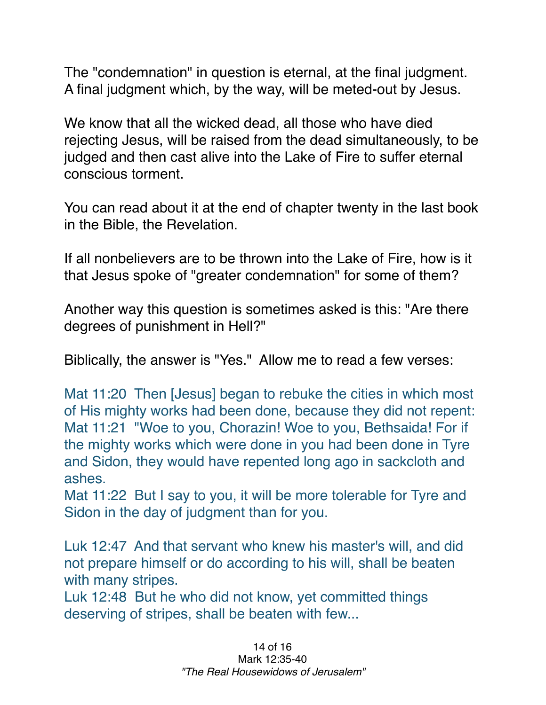The "condemnation" in question is eternal, at the final judgment. A final judgment which, by the way, will be meted-out by Jesus.

We know that all the wicked dead, all those who have died rejecting Jesus, will be raised from the dead simultaneously, to be judged and then cast alive into the Lake of Fire to suffer eternal conscious torment.

You can read about it at the end of chapter twenty in the last book in the Bible, the Revelation.

If all nonbelievers are to be thrown into the Lake of Fire, how is it that Jesus spoke of "greater condemnation" for some of them?

Another way this question is sometimes asked is this: "Are there degrees of punishment in Hell?"

Biblically, the answer is "Yes." Allow me to read a few verses:

Mat 11:20 Then [Jesus] began to rebuke the cities in which most of His mighty works had been done, because they did not repent: Mat 11:21 "Woe to you, Chorazin! Woe to you, Bethsaida! For if the mighty works which were done in you had been done in Tyre and Sidon, they would have repented long ago in sackcloth and ashes.

Mat 11:22 But I say to you, it will be more tolerable for Tyre and Sidon in the day of judgment than for you.

Luk 12:47 And that servant who knew his master's will, and did not prepare himself or do according to his will, shall be beaten with many stripes.

Luk 12:48 But he who did not know, yet committed things deserving of stripes, shall be beaten with few...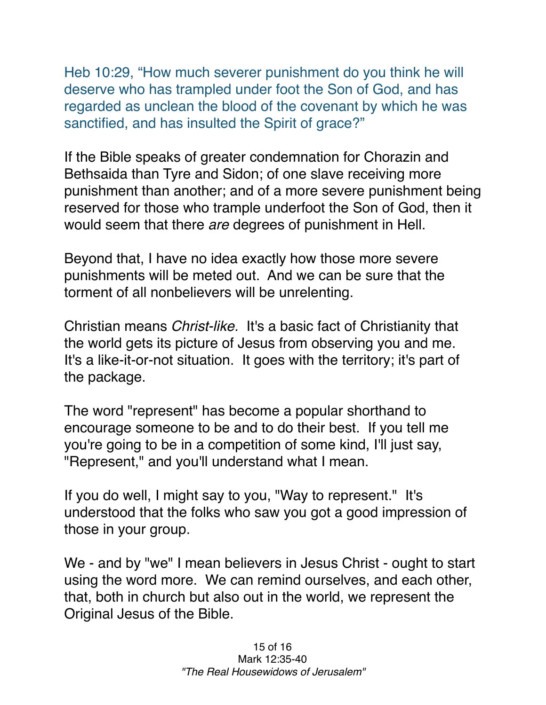Heb 10:29, "How much severer punishment do you think he will deserve who has trampled under foot the Son of God, and has regarded as unclean the blood of the covenant by which he was sanctified, and has insulted the Spirit of grace?"

If the Bible speaks of greater condemnation for Chorazin and Bethsaida than Tyre and Sidon; of one slave receiving more punishment than another; and of a more severe punishment being reserved for those who trample underfoot the Son of God, then it would seem that there *are* degrees of punishment in Hell.

Beyond that, I have no idea exactly how those more severe punishments will be meted out. And we can be sure that the torment of all nonbelievers will be unrelenting.

Christian means *Christ-like.* It's a basic fact of Christianity that the world gets its picture of Jesus from observing you and me. It's a like-it-or-not situation. It goes with the territory; it's part of the package.

The word "represent" has become a popular shorthand to encourage someone to be and to do their best. If you tell me you're going to be in a competition of some kind, I'll just say, "Represent," and you'll understand what I mean.

If you do well, I might say to you, "Way to represent." It's understood that the folks who saw you got a good impression of those in your group.

We - and by "we" I mean believers in Jesus Christ - ought to start using the word more. We can remind ourselves, and each other, that, both in church but also out in the world, we represent the Original Jesus of the Bible.